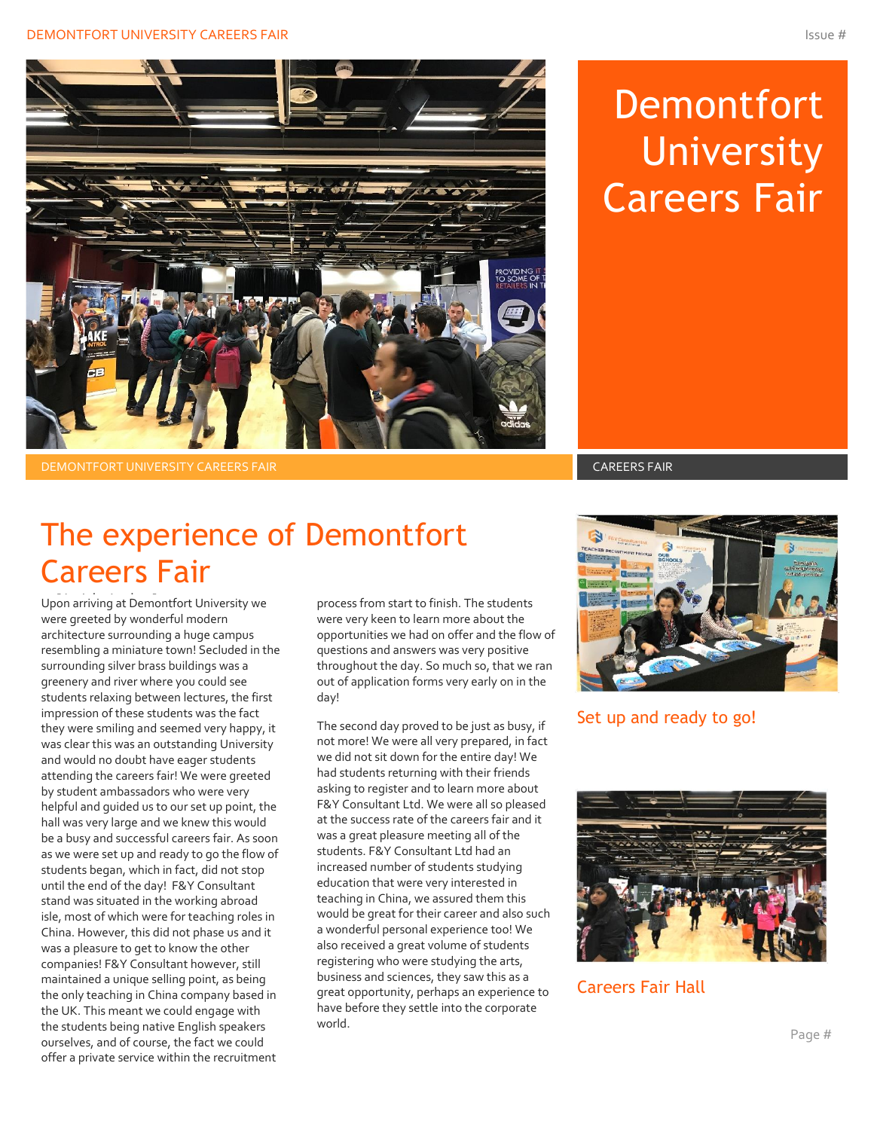

# **Demontfort University** Careers Fair

DEMONTFORT UNIVERSITY CAREERS FAIR CAREERS FAIR

## The experience of Demontfort Careers Fair

Upon arriving at Demontfort University we were greeted by wonderful modern architecture surrounding a huge campus resembling a miniature town! Secluded in the surrounding silver brass buildings was a greenery and river where you could see students relaxing between lectures, the first impression of these students was the fact they were smiling and seemed very happy, it was clear this was an outstanding University and would no doubt have eager students attending the careers fair! We were greeted by student ambassadors who were very helpful and guided us to our set up point, the hall was very large and we knew this would be a busy and successful careers fair. As soon as we were set up and ready to go the flow of students began, which in fact, did not stop until the end of the day! F&Y Consultant stand was situated in the working abroad isle, most of which were for teaching roles in China. However, this did not phase us and it was a pleasure to get to know the other companies! F&Y Consultant however, still maintained a unique selling point, as being the only teaching in China company based in the UK. This meant we could engage with the students being native English speakers ourselves, and of course, the fact we could offer a private service within the recruitment

process from start to finish. The students were very keen to learn more about the opportunities we had on offer and the flow of questions and answers was very positive throughout the day. So much so, that we ran out of application forms very early on in the day!

The second day proved to be just as busy, if not more! We were all very prepared, in fact we did not sit down for the entire day! We had students returning with their friends asking to register and to learn more about F&Y Consultant Ltd. We were all so pleased at the success rate of the careers fair and it was a great pleasure meeting all of the students. F&Y Consultant Ltd had an increased number of students studying education that were very interested in teaching in China, we assured them this would be great for their career and also such a wonderful personal experience too! We also received a great volume of students registering who were studying the arts, business and sciences, they saw this as a great opportunity, perhaps an experience to have before they settle into the corporate world.



### Set up and ready to go!



Careers Fair Hall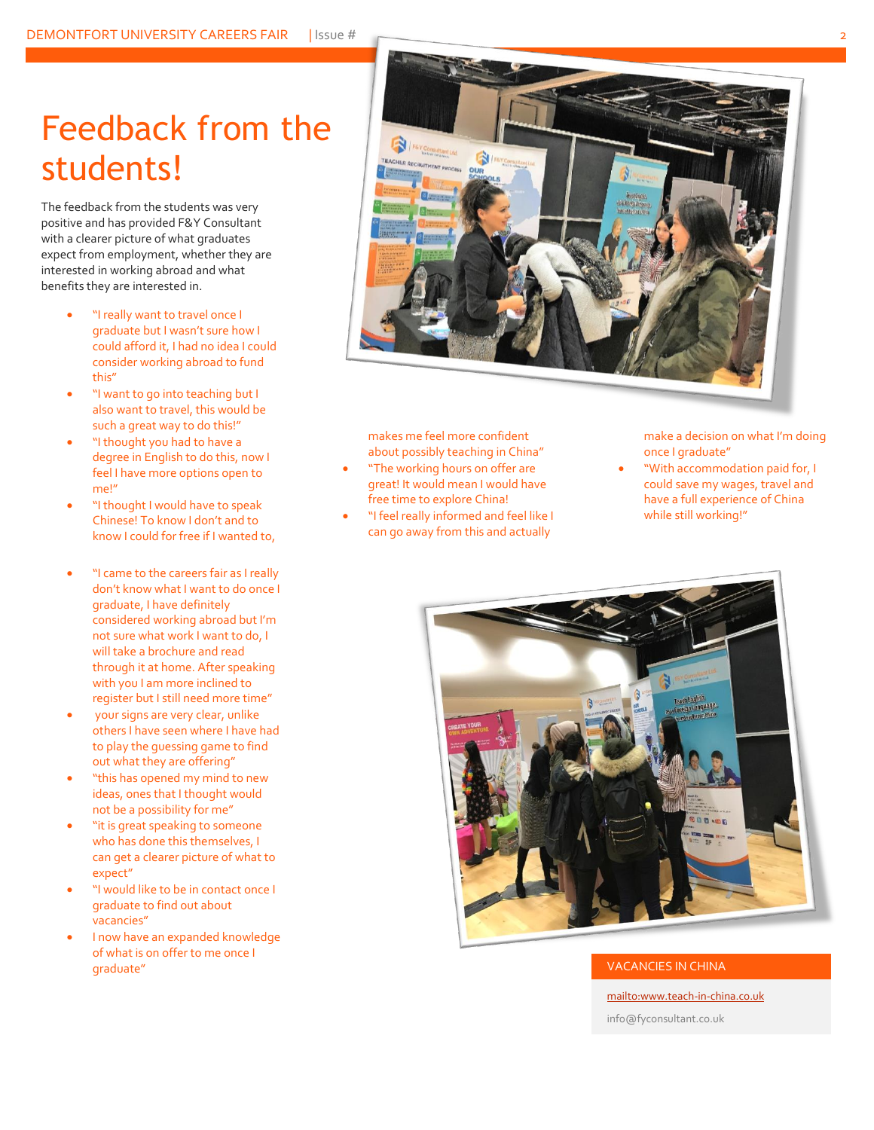## Feedback from the students!

The feedback from the students was very positive and has provided F&Y Consultant with a clearer picture of what graduates expect from employment, whether they are interested in working abroad and what benefits they are interested in.

- "I really want to travel once I graduate but I wasn't sure how I could afford it, I had no idea I could consider working abroad to fund this"
- "I want to go into teaching but I also want to travel, this would be such a great way to do this!"
- "I thought you had to have a degree in English to do this, now I feel I have more options open to me!"
- "I thought I would have to speak Chinese! To know I don't and to know I could for free if I wanted to,
- "I came to the careers fair as I really don't know what I want to do once I graduate, I have definitely considered working abroad but I'm not sure what work I want to do, I will take a brochure and read through it at home. After speaking with you I am more inclined to register but I still need more time"
- your signs are very clear, unlike others I have seen where I have had to play the guessing game to find out what they are offering"
- "this has opened my mind to new ideas, ones that I thought would not be a possibility for me"
- "it is great speaking to someone who has done this themselves, I can get a clearer picture of what to expect"
- "I would like to be in contact once I graduate to find out about vacancies"
- I now have an expanded knowledge of what is on offer to me once I graduate" VACANCIES IN CHINA



makes me feel more confident about possibly teaching in China"

- "The working hours on offer are great! It would mean I would have free time to explore China!
- "I feel really informed and feel like I can go away from this and actually

make a decision on what I'm doing once I graduate"

• "With accommodation paid for, I could save my wages, travel and have a full experience of China while still working!"



[mailto:www.teach-in-china.co.uk](mailto:www.teach-in-china.co.uk?subject=www.teach-in-china.co.uk) info@fyconsultant.co.uk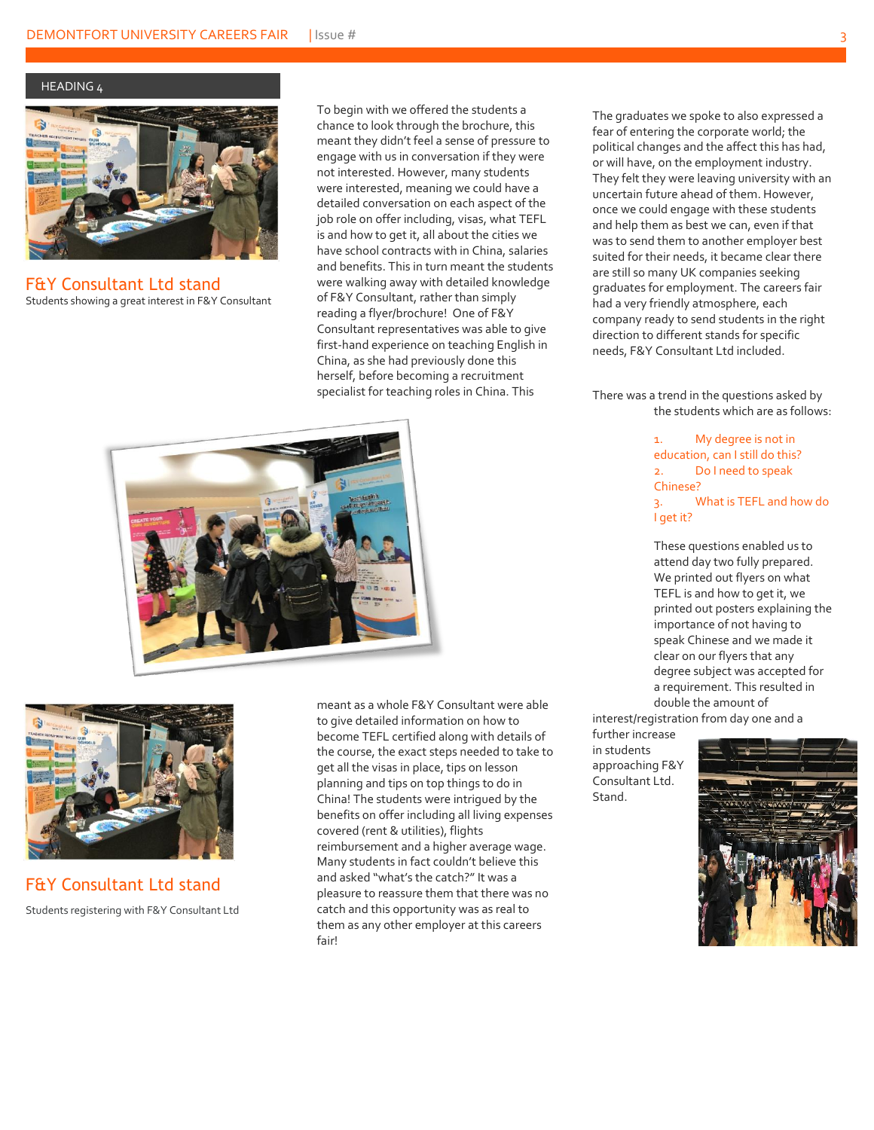HEADING 4



F&Y Consultant Ltd stand Students showing a great interest in F&Y Consultant

To begin with we offered the students a chance to look through the brochure, this meant they didn't feel a sense of pressure to engage with us in conversation if they were not interested. However, many students were interested, meaning we could have a detailed conversation on each aspect of the job role on offer including, visas, what TEFL is and how to get it, all about the cities we have school contracts with in China, salaries and benefits. This in turn meant the students were walking away with detailed knowledge of F&Y Consultant, rather than simply reading a flyer/brochure! One of F&Y Consultant representatives was able to give first-hand experience on teaching English in China, as she had previously done this herself, before becoming a recruitment specialist for teaching roles in China. This





F&Y Consultant Ltd stand Students registering with F&Y Consultant Ltd

meant as a whole F&Y Consultant were able to give detailed information on how to become TEFL certified along with details of the course, the exact steps needed to take to get all the visas in place, tips on lesson planning and tips on top things to do in China! The students were intrigued by the benefits on offer including all living expenses covered (rent & utilities), flights reimbursement and a higher average wage. Many students in fact couldn't believe this and asked "what's the catch?" It was a pleasure to reassure them that there was no catch and this opportunity was as real to them as any other employer at this careers fair!

The graduates we spoke to also expressed a fear of entering the corporate world; the political changes and the affect this has had, or will have, on the employment industry. They felt they were leaving university with an uncertain future ahead of them. However, once we could engage with these students and help them as best we can, even if that was to send them to another employer best suited for their needs, it became clear there are still so many UK companies seeking graduates for employment. The careers fair had a very friendly atmosphere, each company ready to send students in the right direction to different stands for specific needs, F&Y Consultant Ltd included.

There was a trend in the questions asked by the students which are as follows:

> 1. My degree is not in education, can I still do this? 2. Do I need to speak Chinese? 3. What is TEFL and how do I get it?

These questions enabled us to attend day two fully prepared. We printed out flyers on what TEFL is and how to get it, we printed out posters explaining the importance of not having to speak Chinese and we made it clear on our flyers that any degree subject was accepted for a requirement. This resulted in double the amount of

interest/registration from day one and a

further increase in students approaching F&Y Consultant Ltd. Stand.